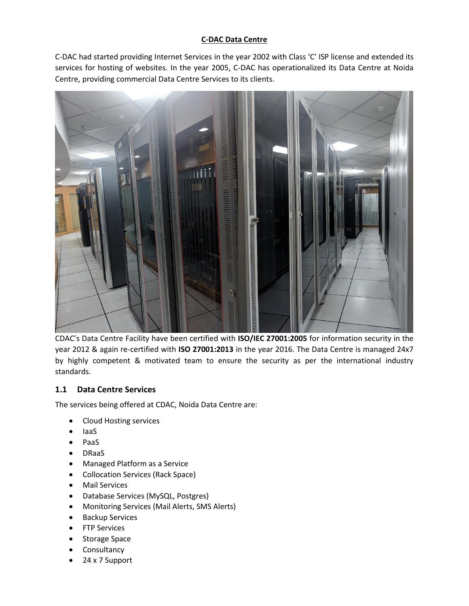# **C-DAC Data Centre**

C-DAC had started providing Internet Services in the year 2002 with Class 'C' ISP license and extended its services for hosting of websites. In the year 2005, C-DAC has operationalized its Data Centre at Noida Centre, providing commercial Data Centre Services to its clients.



CDAC's Data Centre Facility have been certified with **ISO/IEC 27001:2005** for information security in the year 2012 & again re-certified with **ISO 27001:2013** in the year 2016. The Data Centre is managed 24x7 by highly competent & motivated team to ensure the security as per the international industry standards.

# **1.1 Data Centre Services**

The services being offered at CDAC, Noida Data Centre are:

- Cloud Hosting services
- laaS
- PaaS
- DRaaS
- Managed Platform as a Service
- Collocation Services (Rack Space)
- Mail Services
- Database Services (MySQL, Postgres)
- Monitoring Services (Mail Alerts, SMS Alerts)
- **•** Backup Services
- **•** FTP Services
- Storage Space
- Consultancy
- 24 x 7 Support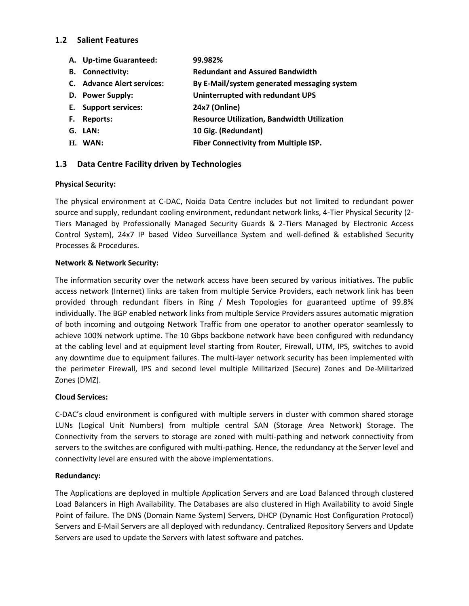### **1.2 Salient Features**

- **A. Up-time Guaranteed: 99.982%**
- **B. Connectivity: Redundant and Assured Bandwidth**
- **C. Advance Alert services: By E-Mail/system generated messaging system**
- **D. Power Supply: Uninterrupted with redundant UPS**
- **E. Support services: 24x7 (Online)**
- **F. Reports: Resource Utilization, Bandwidth Utilization**
- **G. LAN: 10 Gig. (Redundant)**
- **H. WAN: Fiber Connectivity from Multiple ISP.**

# **1.3 Data Centre Facility driven by Technologies**

### **Physical Security:**

The physical environment at C-DAC, Noida Data Centre includes but not limited to redundant power source and supply, redundant cooling environment, redundant network links, 4-Tier Physical Security (2- Tiers Managed by Professionally Managed Security Guards & 2-Tiers Managed by Electronic Access Control System), 24x7 IP based Video Surveillance System and well-defined & established Security Processes & Procedures.

### **Network & Network Security:**

The information security over the network access have been secured by various initiatives. The public access network (Internet) links are taken from multiple Service Providers, each network link has been provided through redundant fibers in Ring / Mesh Topologies for guaranteed uptime of 99.8% individually. The BGP enabled network links from multiple Service Providers assures automatic migration of both incoming and outgoing Network Traffic from one operator to another operator seamlessly to achieve 100% network uptime. The 10 Gbps backbone network have been configured with redundancy at the cabling level and at equipment level starting from Router, Firewall, UTM, IPS, switches to avoid any downtime due to equipment failures. The multi-layer network security has been implemented with the perimeter Firewall, IPS and second level multiple Militarized (Secure) Zones and De-Militarized Zones (DMZ).

### **Cloud Services:**

C-DAC's cloud environment is configured with multiple servers in cluster with common shared storage LUNs (Logical Unit Numbers) from multiple central SAN (Storage Area Network) Storage. The Connectivity from the servers to storage are zoned with multi-pathing and network connectivity from servers to the switches are configured with multi-pathing. Hence, the redundancy at the Server level and connectivity level are ensured with the above implementations.

### **Redundancy:**

The Applications are deployed in multiple Application Servers and are Load Balanced through clustered Load Balancers in High Availability. The Databases are also clustered in High Availability to avoid Single Point of failure. The DNS (Domain Name System) Servers, DHCP (Dynamic Host Configuration Protocol) Servers and E-Mail Servers are all deployed with redundancy. Centralized Repository Servers and Update Servers are used to update the Servers with latest software and patches.